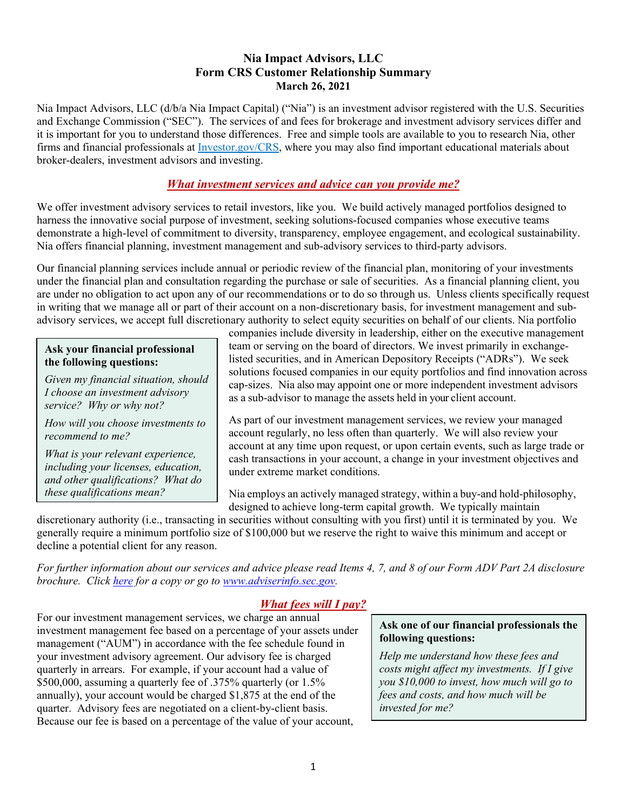### **Nia Impact Advisors, LLC Form CRS Customer Relationship Summary March 26, 2021**

Nia Impact Advisors, LLC (d/b/a Nia Impact Capital) ("Nia") is an investment advisor registered with the U.S. Securities and Exchange Commission ("SEC"). The services of and fees for brokerage and investment advisory services differ and it is important for you to understand those differences. Free and simple tools are available to you to research Nia, other firms and financial professionals at Investor.gov/CRS, where you may also find important educational materials about broker-dealers, investment advisors and investing.

### *What investment services and advice can you provide me?*

We offer investment advisory services to retail investors, like you. We build actively managed portfolios designed to harness the innovative social purpose of investment, seeking solutions-focused companies whose executive teams demonstrate a high-level of commitment to diversity, transparency, employee engagement, and ecological sustainability. Nia offers financial planning, investment management and sub-advisory services to third-party advisors.

Our financial planning services include annual or periodic review of the financial plan, monitoring of your investments under the financial plan and consultation regarding the purchase or sale of securities. As a financial planning client, you are under no obligation to act upon any of our recommendations or to do so through us. Unless clients specifically request in writing that we manage all or part of their account on a non-discretionary basis, for investment management and subadvisory services, we accept full discretionary authority to select equity securities on behalf of our clients. Nia portfolio

#### **Ask your financial professional the following questions:**

*Given my financial situation, should I choose an investment advisory service? Why or why not?*

*How will you choose investments to recommend to me?*

*What is your relevant experience, including your licenses, education, and other qualifications? What do these qualifications mean?*

companies include diversity in leadership, either on the executive management team or serving on the board of directors. We invest primarily in exchangelisted securities, and in American Depository Receipts ("ADRs"). We seek solutions focused companies in our equity portfolios and find innovation across cap-sizes. Nia also may appoint one or more independent investment advisors as a sub-advisor to manage the assets held in your client account.

As part of our investment management services, we review your managed account regularly, no less often than quarterly. We will also review your account at any time upon request, or upon certain events, such as large trade or cash transactions in your account, a change in your investment objectives and under extreme market conditions.

Nia employs an actively managed strategy, within a buy-and hold-philosophy, designed to achieve long-term capital growth. We typically maintain

discretionary authority (i.e., transacting in securities without consulting with you first) until it is terminated by you. We generally require a minimum portfolio size of \$100,000 but we reserve the right to waive this minimum and accept or decline a potential client for any reason.

*For further information about our services and advice please read Items 4, 7, and 8 of our Form ADV Part 2A disclosure brochure. Click [here](https://f27078bd-b3fe-4eaf-9418-f9ef0aaf4d61.filesusr.com/ugd/e1cff9_60f2cecd372440ea8caeea7953ca8515.pdf) for a copy or go to [www.adviserinfo.sec.gov.](http://www.adviserinfo.sec.gov/)* 

## *What fees will I pay?*

For our investment management services, we charge an annual investment management fee based on a percentage of your assets under management ("AUM") in accordance with the fee schedule found in your investment advisory agreement. Our advisory fee is charged quarterly in arrears. For example, if your account had a value of \$500,000, assuming a quarterly fee of .375% quarterly (or 1.5%) annually), your account would be charged \$1,875 at the end of the quarter. Advisory fees are negotiated on a client-by-client basis. Because our fee is based on a percentage of the value of your account,

#### **Ask one of our financial professionals the following questions:**

*Help me understand how these fees and costs might affect my investments. If I give you \$10,000 to invest, how much will go to fees and costs, and how much will be invested for me?*